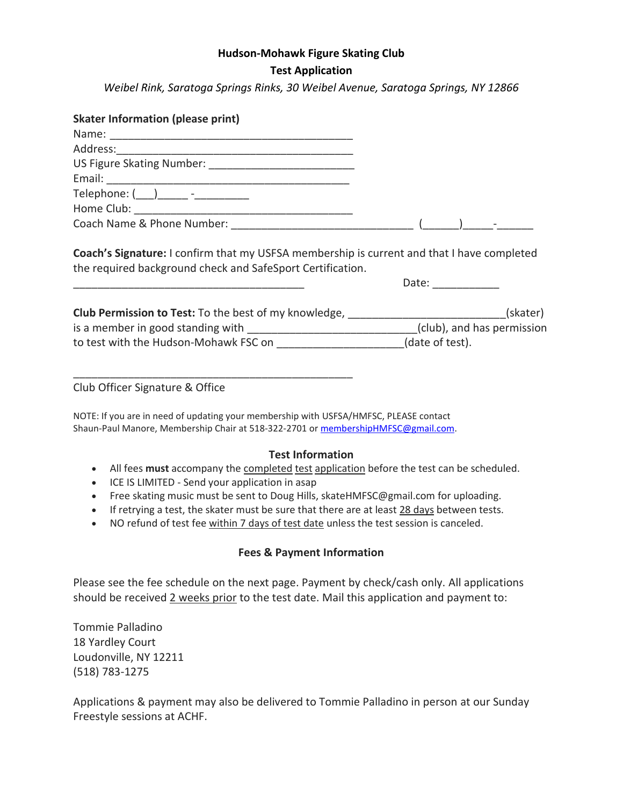#### **Hudson-Mohawk Figure Skating Club**

# **Test Application**

*Weibel Rink, Saratoga Springs Rinks, 30 Weibel Avenue, Saratoga Springs, NY 12866*

| <b>Skater Information (please print)</b>                                                                                                                 |                 |
|----------------------------------------------------------------------------------------------------------------------------------------------------------|-----------------|
|                                                                                                                                                          |                 |
|                                                                                                                                                          |                 |
|                                                                                                                                                          |                 |
|                                                                                                                                                          |                 |
|                                                                                                                                                          |                 |
|                                                                                                                                                          |                 |
|                                                                                                                                                          |                 |
| Coach's Signature: I confirm that my USFSA membership is current and that I have completed<br>the required background check and SafeSport Certification. |                 |
|                                                                                                                                                          | Date: _________ |
| Club Permission to Test: To the best of my knowledge, _________________________(skater)                                                                  |                 |
| is a member in good standing with ______________________________(club), and has permission                                                               |                 |
| to test with the Hudson-Mohawk FSC on ______________________(date of test).                                                                              |                 |

Club Officer Signature & Office

NOTE: If you are in need of updating your membership with USFSA/HMFSC, PLEASE contact Shaun-Paul Manore, Membership Chair at 518-322-2701 or [membershipHMFSC@gmail.com.](mailto:membershipHMFSC@gmail.com)

### **Test Information**

- All fees **must** accompany the completed test application before the test can be scheduled.
- ICE IS LIMITED Send your application in asap

\_\_\_\_\_\_\_\_\_\_\_\_\_\_\_\_\_\_\_\_\_\_\_\_\_\_\_\_\_\_\_\_\_\_\_\_\_\_\_\_\_\_\_\_\_\_

- Free skating music must be sent to Doug Hills, skateHMFSC@gmail.com for uploading.
- If retrying a test, the skater must be sure that there are at least 28 days between tests.
- NO refund of test fee within 7 days of test date unless the test session is canceled.

# **Fees & Payment Information**

Please see the fee schedule on the next page. Payment by check/cash only. All applications should be received 2 weeks prior to the test date. Mail this application and payment to:

Tommie Palladino 18 Yardley Court Loudonville, NY 12211 (518) 783-1275

Applications & payment may also be delivered to Tommie Palladino in person at our Sunday Freestyle sessions at ACHF.